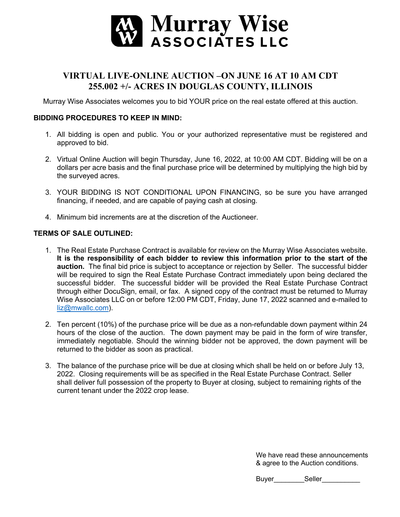

## **VIRTUAL LIVE-ONLINE AUCTION –ON JUNE 16 AT 10 AM CDT 255.002 +/- ACRES IN DOUGLAS COUNTY, ILLINOIS**

Murray Wise Associates welcomes you to bid YOUR price on the real estate offered at this auction.

## **BIDDING PROCEDURES TO KEEP IN MIND:**

- 1. All bidding is open and public. You or your authorized representative must be registered and approved to bid.
- 2. Virtual Online Auction will begin Thursday, June 16, 2022, at 10:00 AM CDT. Bidding will be on a dollars per acre basis and the final purchase price will be determined by multiplying the high bid by the surveyed acres.
- 3. YOUR BIDDING IS NOT CONDITIONAL UPON FINANCING, so be sure you have arranged financing, if needed, and are capable of paying cash at closing.
- 4. Minimum bid increments are at the discretion of the Auctioneer.

## **TERMS OF SALE OUTLINED:**

- 1. The Real Estate Purchase Contract is available for review on the Murray Wise Associates website. **It is the responsibility of each bidder to review this information prior to the start of the auction.** The final bid price is subject to acceptance or rejection by Seller. The successful bidder will be required to sign the Real Estate Purchase Contract immediately upon being declared the successful bidder. The successful bidder will be provided the Real Estate Purchase Contract through either DocuSign, email, or fax. A signed copy of the contract must be returned to Murray Wise Associates LLC on or before 12:00 PM CDT, Friday, June 17, 2022 scanned and e-mailed to liz@mwallc.com).
- 2. Ten percent (10%) of the purchase price will be due as a non-refundable down payment within 24 hours of the close of the auction. The down payment may be paid in the form of wire transfer, immediately negotiable. Should the winning bidder not be approved, the down payment will be returned to the bidder as soon as practical.
- 3. The balance of the purchase price will be due at closing which shall be held on or before July 13, 2022. Closing requirements will be as specified in the Real Estate Purchase Contract. Seller shall deliver full possession of the property to Buyer at closing, subject to remaining rights of the current tenant under the 2022 crop lease.

We have read these announcements & agree to the Auction conditions.

Buyer\_\_\_\_\_\_\_\_Seller\_\_\_\_\_\_\_\_\_\_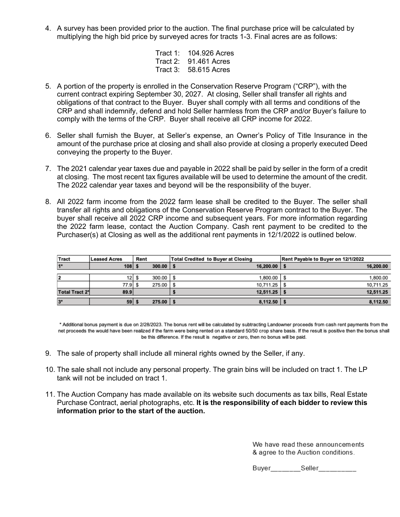4. A survey has been provided prior to the auction. The final purchase price will be calculated by multiplying the high bid price by surveyed acres for tracts 1-3. Final acres are as follows:

> Tract 1: 104.926 Acres Tract 2: 91.461 Acres Tract 3: 58.615 Acres

- 5. A portion of the property is enrolled in the Conservation Reserve Program ("CRP"), with the current contract expiring September 30, 2027. At closing, Seller shall transfer all rights and obligations of that contract to the Buyer. Buyer shall comply with all terms and conditions of the CRP and shall indemnify, defend and hold Seller harmless from the CRP and/or Buyer's failure to comply with the terms of the CRP. Buyer shall receive all CRP income for 2022.
- 6. Seller shall furnish the Buyer, at Seller's expense, an Owner's Policy of Title Insurance in the amount of the purchase price at closing and shall also provide at closing a properly executed Deed conveying the property to the Buyer.
- 7. The 2021 calendar year taxes due and payable in 2022 shall be paid by seller in the form of a credit at closing. The most recent tax figures available will be used to determine the amount of the credit. The 2022 calendar year taxes and beyond will be the responsibility of the buyer.
- 8. All 2022 farm income from the 2022 farm lease shall be credited to the Buyer. The seller shall transfer all rights and obligations of the Conservation Reserve Program contract to the Buyer. The buyer shall receive all 2022 CRP income and subsequent years. For more information regarding the 2022 farm lease, contact the Auction Company. Cash rent payment to be credited to the Purchaser(s) at Closing as well as the additional rent payments in 12/1/2022 is outlined below.

| Tract                 | <b>Leased Acres</b> | Rent |                        | <b>Total Credited to Buyer at Closing</b> | Rent Payable to Buyer on 12/1/2022 |
|-----------------------|---------------------|------|------------------------|-------------------------------------------|------------------------------------|
|                       | 108                 |      | $300.00$   \$          | $16,200.00$   \$                          | 16,200.00                          |
|                       |                     |      |                        |                                           |                                    |
|                       | 12 <sub>1</sub>     |      | $300.00$ $\frac{1}{5}$ | 1,800.00 S                                | 1,800.00                           |
|                       | 77.9                |      | 275.00                 | 10,711.25<br>-S                           | 10,711.25                          |
| <b>Total Tract 2*</b> | 89.9                |      |                        | $12,511.25$ \$                            | 12,511.25                          |
| $3*$                  | 59                  |      | $275.00$   \$          | $8,112.50$   \$                           | 8,112.50                           |

\* Additional bonus payment is due on 2/28/2023. The bonus rent will be calculated by subtracting Landowner proceeds from cash rent payments from the net proceeds the would have been realized if the farm were being rented on a standard 50/50 crop share basis. If the result is positive then the bonus shall be this difference. If the result is negative or zero, then no bonus will be paid.

- 9. The sale of property shall include all mineral rights owned by the Seller, if any.
- 10. The sale shall not include any personal property. The grain bins will be included on tract 1. The LP tank will not be included on tract 1.
- 11. The Auction Company has made available on its website such documents as tax bills, Real Estate Purchase Contract, aerial photographs, etc. **It is the responsibility of each bidder to review this information prior to the start of the auction.**

We have read these announcements & agree to the Auction conditions.

Buyer Seller